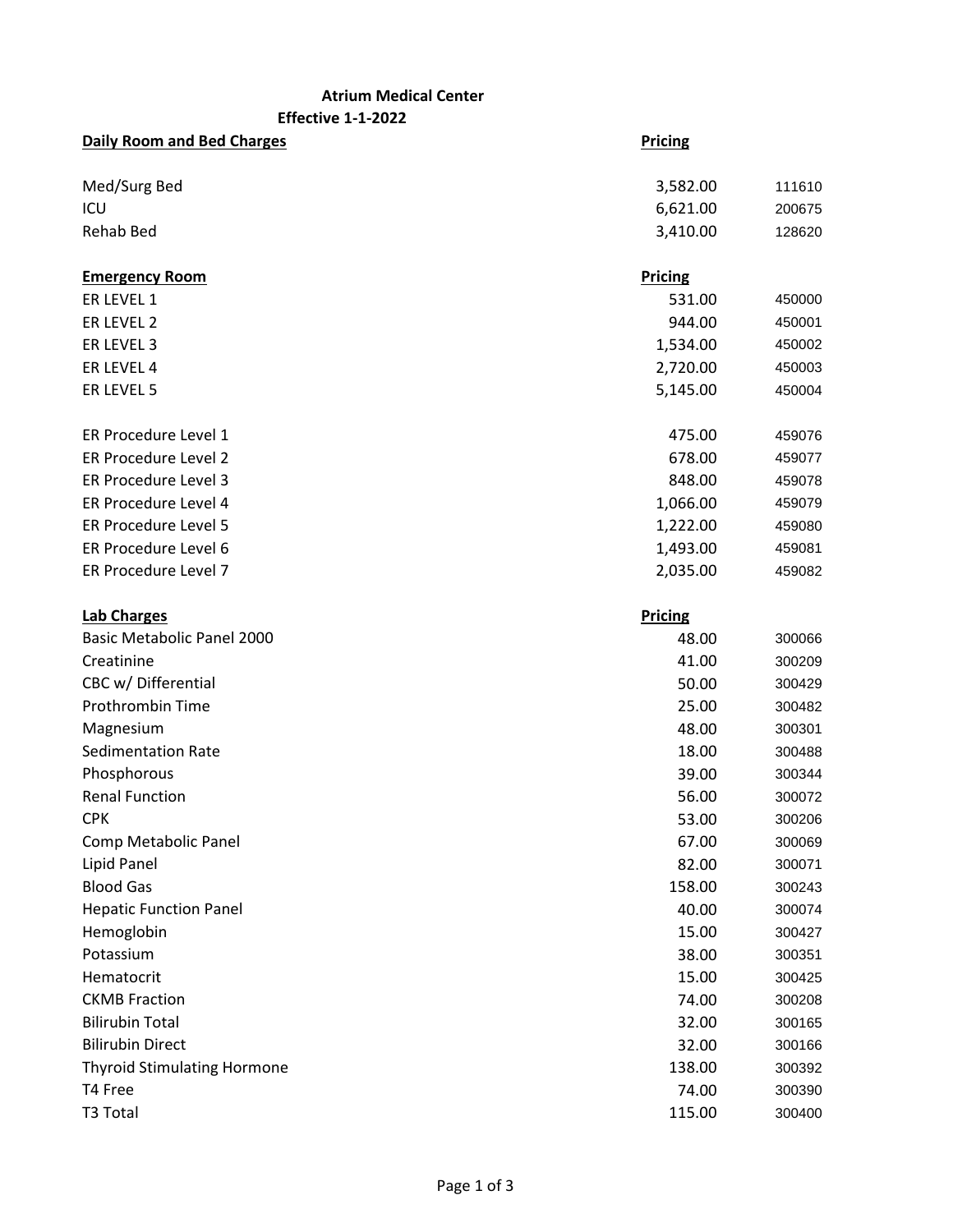## **Atrium Medical Center**

**Effective 1-1-2022**

| <b>Daily Room and Bed Charges</b>  | <b>Pricing</b> |        |
|------------------------------------|----------------|--------|
| Med/Surg Bed                       | 3,582.00       | 111610 |
| ICU                                | 6,621.00       | 200675 |
| <b>Rehab Bed</b>                   | 3,410.00       | 128620 |
| <b>Emergency Room</b>              | <b>Pricing</b> |        |
| ER LEVEL 1                         | 531.00         | 450000 |
| ER LEVEL 2                         | 944.00         | 450001 |
| ER LEVEL 3                         | 1,534.00       | 450002 |
| ER LEVEL 4                         | 2,720.00       | 450003 |
| ER LEVEL 5                         | 5,145.00       | 450004 |
| ER Procedure Level 1               | 475.00         | 459076 |
| ER Procedure Level 2               | 678.00         | 459077 |
| ER Procedure Level 3               | 848.00         | 459078 |
| ER Procedure Level 4               | 1,066.00       | 459079 |
| ER Procedure Level 5               | 1,222.00       | 459080 |
| ER Procedure Level 6               | 1,493.00       | 459081 |
| ER Procedure Level 7               | 2,035.00       | 459082 |
| <b>Lab Charges</b>                 | <b>Pricing</b> |        |
| Basic Metabolic Panel 2000         | 48.00          | 300066 |
| Creatinine                         | 41.00          | 300209 |
| CBC w/ Differential                | 50.00          | 300429 |
| Prothrombin Time                   | 25.00          | 300482 |
| Magnesium                          | 48.00          | 300301 |
| <b>Sedimentation Rate</b>          | 18.00          | 300488 |
| Phosphorous                        | 39.00          | 300344 |
| <b>Renal Function</b>              | 56.00          | 300072 |
| <b>CPK</b>                         | 53.00          | 300206 |
| Comp Metabolic Panel               | 67.00          | 300069 |
| Lipid Panel                        | 82.00          | 300071 |
| <b>Blood Gas</b>                   | 158.00         | 300243 |
| <b>Hepatic Function Panel</b>      | 40.00          | 300074 |
| Hemoglobin                         | 15.00          | 300427 |
| Potassium                          | 38.00          | 300351 |
| Hematocrit                         | 15.00          | 300425 |
| <b>CKMB Fraction</b>               | 74.00          | 300208 |
| <b>Bilirubin Total</b>             | 32.00          | 300165 |
| <b>Bilirubin Direct</b>            | 32.00          | 300166 |
| <b>Thyroid Stimulating Hormone</b> | 138.00         | 300392 |
| T4 Free                            | 74.00          | 300390 |
| T3 Total                           | 115.00         | 300400 |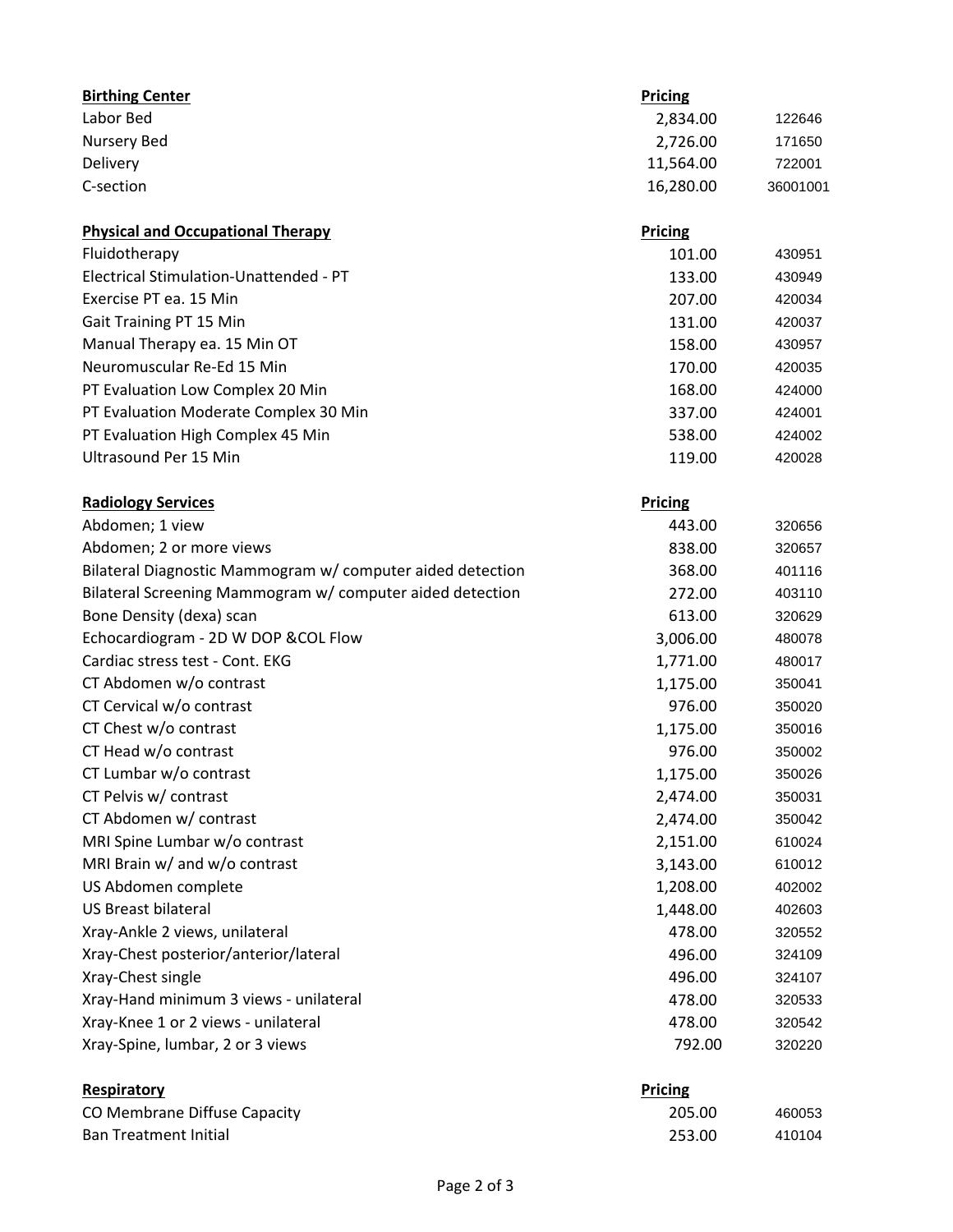| <b>Birthing Center</b>                                     | <b>Pricing</b> |          |
|------------------------------------------------------------|----------------|----------|
| Labor Bed                                                  | 2,834.00       | 122646   |
| <b>Nursery Bed</b>                                         | 2,726.00       | 171650   |
| Delivery                                                   | 11,564.00      | 722001   |
| C-section                                                  | 16,280.00      | 36001001 |
| <b>Physical and Occupational Therapy</b>                   | <b>Pricing</b> |          |
| Fluidotherapy                                              | 101.00         | 430951   |
| Electrical Stimulation-Unattended - PT                     | 133.00         | 430949   |
| Exercise PT ea. 15 Min                                     | 207.00         | 420034   |
| Gait Training PT 15 Min                                    | 131.00         | 420037   |
| Manual Therapy ea. 15 Min OT                               | 158.00         | 430957   |
| Neuromuscular Re-Ed 15 Min                                 | 170.00         | 420035   |
| PT Evaluation Low Complex 20 Min                           | 168.00         | 424000   |
| PT Evaluation Moderate Complex 30 Min                      | 337.00         | 424001   |
| PT Evaluation High Complex 45 Min                          | 538.00         | 424002   |
| <b>Ultrasound Per 15 Min</b>                               | 119.00         | 420028   |
| <b>Radiology Services</b>                                  | <b>Pricing</b> |          |
| Abdomen; 1 view                                            | 443.00         | 320656   |
| Abdomen; 2 or more views                                   | 838.00         | 320657   |
| Bilateral Diagnostic Mammogram w/ computer aided detection | 368.00         | 401116   |
| Bilateral Screening Mammogram w/ computer aided detection  | 272.00         | 403110   |
| Bone Density (dexa) scan                                   | 613.00         | 320629   |
| Echocardiogram - 2D W DOP & COL Flow                       | 3,006.00       | 480078   |
| Cardiac stress test - Cont. EKG                            | 1,771.00       | 480017   |
| CT Abdomen w/o contrast                                    | 1,175.00       | 350041   |
| CT Cervical w/o contrast                                   | 976.00         | 350020   |
| CT Chest w/o contrast                                      | 1,175.00       | 350016   |
| CT Head w/o contrast                                       | 976.00         | 350002   |
| CT Lumbar w/o contrast                                     | 1,175.00       | 350026   |
| CT Pelvis w/ contrast                                      | 2,474.00       | 350031   |
| CT Abdomen w/ contrast                                     | 2,474.00       | 350042   |
| MRI Spine Lumbar w/o contrast                              | 2,151.00       | 610024   |
| MRI Brain w/ and w/o contrast                              | 3,143.00       | 610012   |
| US Abdomen complete                                        | 1,208.00       | 402002   |
| <b>US Breast bilateral</b>                                 | 1,448.00       | 402603   |
| Xray-Ankle 2 views, unilateral                             | 478.00         | 320552   |
| Xray-Chest posterior/anterior/lateral                      | 496.00         | 324109   |
| Xray-Chest single                                          | 496.00         | 324107   |
| Xray-Hand minimum 3 views - unilateral                     | 478.00         | 320533   |
| Xray-Knee 1 or 2 views - unilateral                        | 478.00         | 320542   |
| Xray-Spine, lumbar, 2 or 3 views                           | 792.00         | 320220   |
| <b>Respiratory</b>                                         | <b>Pricing</b> |          |
| CO Membrane Diffuse Capacity                               | 205.00         | 460053   |
| <b>Ban Treatment Initial</b>                               | 253.00         | 410104   |